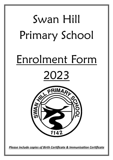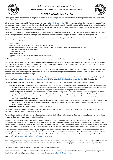

Information about the Enrolment Form: **Please Read This Notice Before Completing The Enrolment Form.**



## **PRIVACY COLLECTION NOTICE**

The Department of Education and Training (the Department) values your privacy and is committed to protecting the personal and health information that schools collect.

All school staff must comply with Victorian privacy law and the Schools' [Privacy Policy.](https://www.education.vic.gov.au/Pages/schoolsprivacypolicy.aspx) This notice explains how the Department, including Victorian government schools (schools), handles personal and health information. On occasion, specific consent will be sought for the collection and use of information, for example, for a student to receive a health service. Our schools are also required by legislation, such as the *Education and Training Reform Act 2006*, to collect some of this information.

Throughout this notice, 'staff' includes principals, teachers, student support service officers, youth workers, social workers, nurses and any other allied health practitioners, and all other employees, contractors, volunteers and service providers of the school and the Department.

On enrolment, and during the ordinary course of a student's attendance at a school, schools will collect information about students and their families for the following purposes:

educating students

supporting students' social and emotional wellbeing, and health

fulfilling legal obligations, including duty of care, anti-discrimination law and occupational health and safety law

communicating and engaging with parents

student administration

school management

supporting policy in relation to student education and wellbeing.

If this information is not collected, schools may be unable to provide optimal education or support to students or fulfil legal obligations.

For example, our schools rely on parents to provide **health information** about any medical condition or disability that their child has, medication their child may take while at school, any known allergies and contact details of their child's doctor. If parents do not provide all relevant health information, this may put their child's health at risk.

Our schools also require current, relevant information about all **parents and carers** so that schools can take account of safety concerns that affect their children. Parents should provide schools with copies of all current parenting plans and court orders about or that affect their children and provide updated copies when they change.

When parents enrol their child in primary school, they will be asked to provide personal and health information in several ways, including via the Enrolment Form, the [School Entrance Health Questionnaire](https://www.education.vic.gov.au/about/research/Pages/reportdatahealth.aspx) (SEHQ) and the [Early Childhood Intervention Service](https://www.education.vic.gov.au/childhood/professionals/needs/Pages/ecisabout.aspx) (ECIS) Transition Form.

The **Enrolment Form** is used to collect information that is essential for the purposes listed above, and requests information such as:

- **Emergency contacts**  Individuals parents nominate for a school to contact during an emergency. Parents should ensure that their nominated emergency contact agrees to their contact details being provided to the school and that they understand their details may be disclosed by the Department if lawful, e.g. in the case of emergency communications relating to bush fires or floods.
- **Student background information**  Information about country of birth, Aboriginal or Torres Strait Islander origin, language spoken at home and parent occupation. This information enables the Department to allocate appropriate resources to schools. The Department also uses this information to plan for future educational needs in Victoria and shares some information with the Commonwealth government to monitor, plan and allocate resources.
- **Immunisation status** This assists schools to manage health risks and legal obligations. The Department may also provide this information to the Department of Health and Department of Families, Fairness and Housing to assess immunisation rates in Victoria, but not in a way which identifies students.
- **Visa status** This is required to process a student's enrolment.

All schools may use departmental systems and online tools such as apps and other software to effectively collect and manage information about students and families for the purposes listed above.

When schools use these online tools, they take steps to ensure that student information is secure. If parents or carers have any concerns about the use of these online tools, please contact the school.

School staff will only share student and family information with other school staff who need to know to enable them to educate or support the student as described above. Information will only be shared outside the school (and outside the Department) as required or authorised by law, including where sharing is required to meet duty of care, anti-discrimination, occupational health and safety, and child wellbeing and safety obligations. The information collected will not be disclosed beyond the school and Department without parent consent unless such disclosure is lawful.

When a student transfers to another school (including Catholic, independent and interstate), personal and/or health information about that student may be transferred to the next school. Transferring this information is in the best interests of the student and assists the next school to provide the best possible education and support to the student. For further detail about how and what level of information is provided to the next school, refer to the: [Enrolment: Student transfers between schools](https://www2.education.vic.gov.au/pal/enrolment/guidance/student-transfers-between-schools)

Schools only provide school reports and ordinary school communications to students, parents, carers or others who have a legal right to that information. Requests for access to other student information or by others must be made by lodging a [Freedom of Information](https://www.education.vic.gov.au/about/working/Pages/foi.aspx) (FOI) application.

To update student or family information, parents should contact their school.

For more information about how schools and the Department collect and manage personal and health information, or how to access personal and health information held by a school about you or your child, refer to the: Schools' [Privacy Policy](https://www.education.vic.gov.au/Pages/schoolsprivacypolicy.aspx)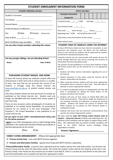| <b>STUDENT ENROLMENT INFORMATION FORM</b>                                                                                                                                                                                                                                                                                                                                                                                                                                                                                                                                                                                                                                                                                                                                                                                                                                                                                                                                                                                                                                                                                                  |                                                                                                                                                                                                                                                                                                                                                                                                                                                                                                                                                                                                                                                                                                                                                                                                                                                                                                                                                                                                                                                                                                                                                                                                                                                                                                             |  |  |
|--------------------------------------------------------------------------------------------------------------------------------------------------------------------------------------------------------------------------------------------------------------------------------------------------------------------------------------------------------------------------------------------------------------------------------------------------------------------------------------------------------------------------------------------------------------------------------------------------------------------------------------------------------------------------------------------------------------------------------------------------------------------------------------------------------------------------------------------------------------------------------------------------------------------------------------------------------------------------------------------------------------------------------------------------------------------------------------------------------------------------------------------|-------------------------------------------------------------------------------------------------------------------------------------------------------------------------------------------------------------------------------------------------------------------------------------------------------------------------------------------------------------------------------------------------------------------------------------------------------------------------------------------------------------------------------------------------------------------------------------------------------------------------------------------------------------------------------------------------------------------------------------------------------------------------------------------------------------------------------------------------------------------------------------------------------------------------------------------------------------------------------------------------------------------------------------------------------------------------------------------------------------------------------------------------------------------------------------------------------------------------------------------------------------------------------------------------------------|--|--|
| <b>STUDENT PERSONAL DETAILS</b>                                                                                                                                                                                                                                                                                                                                                                                                                                                                                                                                                                                                                                                                                                                                                                                                                                                                                                                                                                                                                                                                                                            | <b>OFFICE USE ONLY</b>                                                                                                                                                                                                                                                                                                                                                                                                                                                                                                                                                                                                                                                                                                                                                                                                                                                                                                                                                                                                                                                                                                                                                                                                                                                                                      |  |  |
|                                                                                                                                                                                                                                                                                                                                                                                                                                                                                                                                                                                                                                                                                                                                                                                                                                                                                                                                                                                                                                                                                                                                            | <b>Computer Generated</b>                                                                                                                                                                                                                                                                                                                                                                                                                                                                                                                                                                                                                                                                                                                                                                                                                                                                                                                                                                                                                                                                                                                                                                                                                                                                                   |  |  |
|                                                                                                                                                                                                                                                                                                                                                                                                                                                                                                                                                                                                                                                                                                                                                                                                                                                                                                                                                                                                                                                                                                                                            | <b>Student ID</b>                                                                                                                                                                                                                                                                                                                                                                                                                                                                                                                                                                                                                                                                                                                                                                                                                                                                                                                                                                                                                                                                                                                                                                                                                                                                                           |  |  |
|                                                                                                                                                                                                                                                                                                                                                                                                                                                                                                                                                                                                                                                                                                                                                                                                                                                                                                                                                                                                                                                                                                                                            | Enrolment Date: \[mathbb{sar} \] / 2023 Exit Date: \[mathbb{sar} \] / \[mathbb{sar} \] /                                                                                                                                                                                                                                                                                                                                                                                                                                                                                                                                                                                                                                                                                                                                                                                                                                                                                                                                                                                                                                                                                                                                                                                                                    |  |  |
| $\square$ Male $\square$ Female<br>Sex:<br>(Please tick)<br>Date of Birth $\frac{1}{\frac{1}{2} \cdot \frac{1}{2} \cdot \frac{1}{2} \cdot \frac{1}{2} \cdot \frac{1}{2} \cdot \frac{1}{2} \cdot \frac{1}{2} \cdot \frac{1}{2} \cdot \frac{1}{2} \cdot \frac{1}{2} \cdot \frac{1}{2} \cdot \frac{1}{2} \cdot \frac{1}{2} \cdot \frac{1}{2} \cdot \frac{1}{2} \cdot \frac{1}{2} \cdot \frac{1}{2} \cdot \frac{1}{2} \cdot \frac{1}{2} \cdot \frac{1}{2} \cdot \frac{1}{2} \cdot \frac{1}{2} \cdot \frac{$                                                                                                                                                                                                                                                                                                                                                                                                                                                                                                                                                                                                                                    | Re-enrolment Date: __/___/___<br>Year Level: ____ Home Group: _____ House: ______<br>Repeating Year: Y / N Full time/Part time: F / P<br>If part-time, note time fraction at this school: _______                                                                                                                                                                                                                                                                                                                                                                                                                                                                                                                                                                                                                                                                                                                                                                                                                                                                                                                                                                                                                                                                                                           |  |  |
| Birth Certificate copy provided: Y/N                                                                                                                                                                                                                                                                                                                                                                                                                                                                                                                                                                                                                                                                                                                                                                                                                                                                                                                                                                                                                                                                                                       |                                                                                                                                                                                                                                                                                                                                                                                                                                                                                                                                                                                                                                                                                                                                                                                                                                                                                                                                                                                                                                                                                                                                                                                                                                                                                                             |  |  |
| List any other family members attending this school:                                                                                                                                                                                                                                                                                                                                                                                                                                                                                                                                                                                                                                                                                                                                                                                                                                                                                                                                                                                                                                                                                       | STUDENT CODE OF CONDUCT USING THE INTERNET<br>At Swan Hill Primary School we have Internet connections in each<br>classroom, the computer room, the library and the staffroom.<br>Access to the Internet by students will be supervised by teachers<br>and will be for educational purposes only.                                                                                                                                                                                                                                                                                                                                                                                                                                                                                                                                                                                                                                                                                                                                                                                                                                                                                                                                                                                                           |  |  |
| List any younger siblings, not yet attending School:<br>Date of Birth<br><b>Name</b>                                                                                                                                                                                                                                                                                                                                                                                                                                                                                                                                                                                                                                                                                                                                                                                                                                                                                                                                                                                                                                                       | Using the Internet we can communicate with people all over the<br>world, through electronic mail and by accessing vast amounts of<br>information that have educational value.<br>The purpose of these guidelines is to ensure that students at Swan<br>Hill Primary School who use the Internet do so in an appropriate<br>manner.                                                                                                                                                                                                                                                                                                                                                                                                                                                                                                                                                                                                                                                                                                                                                                                                                                                                                                                                                                          |  |  |
| PUBLISHING STUDENT IMAGES AND WORK<br>At Swan Hill Primary School we celebrate student effort and<br>achievements in their work and at school events in a number<br>of ways. One way that we can promote the success of our<br>students is through using the School internet site<br>www.swanhillps.vic.edu.au to publish student photos and<br>work.<br>Only those students whom we have permission to include are<br>published on the School internet site. Student work and<br>images are identified with the students first names, grade or<br>year level only.<br>There are also occasions where photographs of students are<br>published in our weekly School Newsletter, for promotional<br>material for our School or in the local newspaper ("The<br>Guardian"). The School Newsletter is also published to our<br>school internet site.<br>Do you agree to your child's name/photo/work being used<br>for the below purposes?<br>I agree to my child's photograph, work or video footage being<br>published in the media/Internet/Social Media eg Facebook as<br>deemed appropriate by the school:<br>$\Box$ Yes<br>$\square$ No | Students will follow teacher instructions regarding the use of<br>the Internet.<br>Student behaviour in class when using the Internet will be<br>mature, responsible and courteous.<br>• When using the Internet, students will only access appropriate<br>information which is relevant to their work. They will make no<br>attempt to access inappropriate material.<br>If a student accidentally accesses an inappropriate site they will<br>leave it immediately by clicking the Home button on the<br>browser and inform their teacher.<br>Students will only use first names on World Wide Web and<br>Email communications. (They will be taught the importance of<br>not including surnames and addresses or giving out personal<br>details). Students will respect the privacy of teachers and<br>fellow students by not giving out their personal details or<br>reading their Emails.<br>• Students will ensure that any electronic communications they<br>send do not contain inappropriate content.<br>We have read the Swan Hill Primary School Student Code of<br>Conduct - Using the Internet carefully and understand the sig-<br>nificance of the conditions and we agree to support these condi-<br>tions. We understand that any breach of these conditions will<br>suspended or revoked. |  |  |
|                                                                                                                                                                                                                                                                                                                                                                                                                                                                                                                                                                                                                                                                                                                                                                                                                                                                                                                                                                                                                                                                                                                                            | result in our child's Internet access privileges being                                                                                                                                                                                                                                                                                                                                                                                                                                                                                                                                                                                                                                                                                                                                                                                                                                                                                                                                                                                                                                                                                                                                                                                                                                                      |  |  |
|                                                                                                                                                                                                                                                                                                                                                                                                                                                                                                                                                                                                                                                                                                                                                                                                                                                                                                                                                                                                                                                                                                                                            | Parent's Signature:                                                                                                                                                                                                                                                                                                                                                                                                                                                                                                                                                                                                                                                                                                                                                                                                                                                                                                                                                                                                                                                                                                                                                                                                                                                                                         |  |  |
| <b>FAMILY LIVING ARRANGEMENT:</b> (Please tick appropriate box)                                                                                                                                                                                                                                                                                                                                                                                                                                                                                                                                                                                                                                                                                                                                                                                                                                                                                                                                                                                                                                                                            |                                                                                                                                                                                                                                                                                                                                                                                                                                                                                                                                                                                                                                                                                                                                                                                                                                                                                                                                                                                                                                                                                                                                                                                                                                                                                                             |  |  |

**Primary Family Only** - Lives with BOTH Parents together.

**Primary and Alternative Families** - Spends time living with BOTH Parents, separately.

*Primary/Alternative Family: If parents have separated and the student spends time with both parties, one becomes the Primary Family and the other the Alternative Family. The Family the student resides with for the majority of the time is the Primary Family. Each Family has the provision for an Adult A and Adult B. There is a section for each family on this form and each Parent/Guardian must complete and sign their appropriate section.*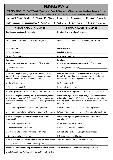| <b>PRIMARY FAMILY</b>                                                                                                                                                                   |                                                                                                                                                                                         |  |  |  |
|-----------------------------------------------------------------------------------------------------------------------------------------------------------------------------------------|-----------------------------------------------------------------------------------------------------------------------------------------------------------------------------------------|--|--|--|
| **IMPORTANT** The 'PRIMARY' family is the Parents/Guardians of the household the student mostly lives in.                                                                               |                                                                                                                                                                                         |  |  |  |
| For separated parents, please also complete the Alternative Family Section - Please provide Court Orders if applicable.                                                                 |                                                                                                                                                                                         |  |  |  |
| Living With Primary Family: $A =$ Always $M =$ Mostly $B =$ Balanced<br>$O = Occasionally$ $N = Never$ (Please circle)                                                                  |                                                                                                                                                                                         |  |  |  |
| Send Correspondence addressed to: $A =$ Adult A only $B =$ Adult B only $C =$ Both Adults<br>N=Neither (Please circle)                                                                  |                                                                                                                                                                                         |  |  |  |
| PRIMARY ADULT A DETAILS:                                                                                                                                                                | PRIMARY ADULT B DETAILS:                                                                                                                                                                |  |  |  |
| Relationship to student: (e.g. Mother)                                                                                                                                                  | Relationship to student (e.g. Father)                                                                                                                                                   |  |  |  |
| Sex: $\square$ Male $\square$ Female<br>Title: (Ms, Mr, Dr etc)                                                                                                                         | Sex: $\square$ Male $\square$ Female<br>Title: (Ms, Mr, Dr etc)                                                                                                                         |  |  |  |
| Legal Surname:                                                                                                                                                                          | <b>Legal Surname:</b>                                                                                                                                                                   |  |  |  |
| <b>Legal First Name:</b>                                                                                                                                                                | <b>Legal First Name:</b>                                                                                                                                                                |  |  |  |
| <b>Current Occupation:</b>                                                                                                                                                              | <b>Current Occupation:</b>                                                                                                                                                              |  |  |  |
| <b>Employer:</b>                                                                                                                                                                        | Employer:                                                                                                                                                                               |  |  |  |
| In which country was Adult A born? $\Box$ Australia                                                                                                                                     | In which country was Adult B born? $\Box$ Australia                                                                                                                                     |  |  |  |
| $\Box$ Other (please speci-<br>$fy)$ :                                                                                                                                                  |                                                                                                                                                                                         |  |  |  |
| Does Adult A speak a language other than English at<br>home? (If more than one language is spoken at home,<br>indicate the one that is spoken most often).                              | Does Adult B speak a language other than English at<br>home? (If more than one language is spoken at home,<br>indicate the one that is spoken most often).                              |  |  |  |
| $\Box$ No, English only                                                                                                                                                                 | $\Box$ No, English only                                                                                                                                                                 |  |  |  |
| $\Box$ Yes (please specify):                                                                                                                                                            | $\Box$ Yes (please specify):                                                                                                                                                            |  |  |  |
| Is an interpreter required? $\Box$ Yes $\Box$ No<br>(Please tick)                                                                                                                       | Is an interpreter required? $\Box$ Yes $\Box$ No (Please tick)                                                                                                                          |  |  |  |
| What is the highest year of primary or secondary school<br>Adult A has completed? ? (tick one) (For persons who<br>have never attended school, mark 'Year 9 or equivalent or<br>below') | What is the highest year of primary or secondary school<br>Adult B has completed? ? (tick one) (For persons who<br>have never attended school, mark 'Year 9 or equivalent or<br>below') |  |  |  |
| $\Box$ Year 12 or equivalent $\Box$ Year 11 or equivalent                                                                                                                               | $\Box$ Year 12 or equivalent<br>$\Box$ Year 11 or equivalent                                                                                                                            |  |  |  |
| $\Box$ Year 10 or equivalent<br>$\Box$ Year 9 or equivalent or below                                                                                                                    | $\Box$ Year 10 or equivalent<br>$\Box$ Year 9 or equivalent or below                                                                                                                    |  |  |  |
| What is the highest qualification level Adult A has<br>completed?                                                                                                                       | What is the highest qualification level Adult B has<br>completed?                                                                                                                       |  |  |  |
| $\Box$ Bachelor Degree or above                                                                                                                                                         | $\Box$ Bachelor Degree or above                                                                                                                                                         |  |  |  |
| □ Advanced Diploma / Diploma                                                                                                                                                            | □ Advanced Diploma / Diploma                                                                                                                                                            |  |  |  |
| $\Box$ Certificate 1 to IV (including trade certificate)                                                                                                                                | $\Box$ Certificate 1 to IV (including trade certificate)                                                                                                                                |  |  |  |
| $\square$ No non-school qualification                                                                                                                                                   | $\square$ No non-school qualification                                                                                                                                                   |  |  |  |
| What is the main language spoken at home? (Please tick)                                                                                                                                 | *indicate the one that is spoken most often                                                                                                                                             |  |  |  |
| $\Box$ English only<br>$\Box$ Other (please specify):                                                                                                                                   |                                                                                                                                                                                         |  |  |  |
| Are either Adult able to help with School Council, Parents Club, excursions or similar activities? (Please tick)                                                                        |                                                                                                                                                                                         |  |  |  |
| $\Box$ Neither<br>$\Box$ Adult A only $\Box$ Adult B only $\Box$ Both                                                                                                                   |                                                                                                                                                                                         |  |  |  |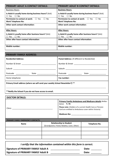| <b>PRIMARY ADULT A CONTACT DETAILS:</b>                                           | <b>PRIMARY ADULT B CONTACT DETAILS:</b>                                           |
|-----------------------------------------------------------------------------------|-----------------------------------------------------------------------------------|
| <b>Business Hours:</b>                                                            | <b>Business Hours:</b>                                                            |
| Is Adult A usually home during business hours? (tick)<br>$\Box$ Yes<br>$\Box$ No  | Is Adult B usually home during business hours? (tick)<br>$\Box$ No<br>$\Box$ Yes  |
| Permission to contact at work:<br>∩ No<br>$\Box$ Yes<br><b>Work Telephone No:</b> | Permission to contact at work:<br><b>No</b><br>□ Yes<br><b>Work Telephone No:</b> |
| Other work contact information:                                                   | <b>Other work contact information:</b>                                            |
| <b>After Hours:</b>                                                               | <b>After Hours:</b>                                                               |
| Is Adult A usually home after business hours? (tick)<br>$\Box$ No<br>$\Box$ Yes   | Is Adult B usually home after business hours? (tick)<br>$\Box$ Yes<br>$\Box$ No   |
| Other after hours contact information:                                            | Other after hours contact information:                                            |
| <b>Mobile number:</b>                                                             | <b>Mobile number:</b>                                                             |

| <b>PRIMARY FAMILY ADDRESS:</b>                                                                                                             |                                 |  |  |
|--------------------------------------------------------------------------------------------------------------------------------------------|---------------------------------|--|--|
| <b>Residential Address:</b><br>Postal Address: (If different to Residential)                                                               |                                 |  |  |
|                                                                                                                                            |                                 |  |  |
|                                                                                                                                            |                                 |  |  |
| Postcode _______________<br>State and the state of the state of the state of the state of the state of the state of the state of the state | Postcode _____________<br>State |  |  |
| Home telephone:                                                                                                                            | Fax number:                     |  |  |
| Primary Email address (where we will send your weekly School Newsletter?) **                                                               |                                 |  |  |

**\*\*Notify the School if you do not have access to email.**

| <b>DOCTOR DETAILS:</b>                    |                                                                                 |                                                                                                                    |               |
|-------------------------------------------|---------------------------------------------------------------------------------|--------------------------------------------------------------------------------------------------------------------|---------------|
|                                           |                                                                                 | <b>Primary Family Ambulance and Medicare details Ambu-</b><br>lance: $Y/N$                                         |               |
|                                           |                                                                                 | Please note: (Holders of a current Health Care or Pension<br>Card are entitled to Ambulance cover within Victoria) |               |
|                                           |                                                                                 |                                                                                                                    |               |
| <b>PRIMARY FAMILY EMERGENCY CONTACTS:</b> |                                                                                 |                                                                                                                    |               |
| <b>Name</b>                               | <b>Relationship to Student</b><br>(Grandparent, Friend, Relative, Carer, Other) |                                                                                                                    | Telephone No. |
|                                           |                                                                                 |                                                                                                                    |               |
|                                           |                                                                                 |                                                                                                                    |               |
|                                           |                                                                                 |                                                                                                                    |               |

*I certify that the information contained within this form is correct.* **Signature of PRIMARY FAMILY Adult A** \_\_\_\_\_\_\_\_\_\_\_\_\_\_\_\_\_\_\_\_\_\_ **Date:** \_\_\_\_\_\_\_\_ **Signature of PRIMARY FAMILY Adult B** \_\_\_\_\_\_\_\_\_\_\_\_\_\_\_\_\_\_\_\_\_\_ **Date:** \_\_\_\_\_\_\_\_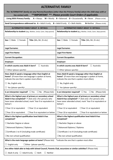| <b>ALTERNATIVE FAMILY</b>                                                                                                                                                                                                                                                                                                                                                          |                                                                                                                                                            |  |  |  |
|------------------------------------------------------------------------------------------------------------------------------------------------------------------------------------------------------------------------------------------------------------------------------------------------------------------------------------------------------------------------------------|------------------------------------------------------------------------------------------------------------------------------------------------------------|--|--|--|
| The 'ALTERNATIVE' family are any Parents/Guardians (other than the Primary Family) whom the child stays with or                                                                                                                                                                                                                                                                    |                                                                                                                                                            |  |  |  |
| **IMPORTANT **- Please provide Court Orders if applicable.<br>has contact with.                                                                                                                                                                                                                                                                                                    |                                                                                                                                                            |  |  |  |
| <b>Living With Primary Family:</b>                                                                                                                                                                                                                                                                                                                                                 | $A =$ Always $M =$ Mostly $B =$ Balanced $O =$ Occasionally $N =$ Never (Please circle)                                                                    |  |  |  |
| Send Correspondence addressed to: $A =$ Adult A only $B =$ Adult B only $C =$ Both Adults                                                                                                                                                                                                                                                                                          | N=Neither (Please circle)                                                                                                                                  |  |  |  |
| <b>ALTERNATIVE FAMILY ADULT A DETAILS:</b>                                                                                                                                                                                                                                                                                                                                         | ALTERNATIVE FAMILY ADULT B DETAILS:                                                                                                                        |  |  |  |
| Relationship to student: (e.g. Mother, Uncle, Carer, Step-parent)                                                                                                                                                                                                                                                                                                                  | Relationship to student (e.g. Mother, Uncle, Carer, Step-parent)                                                                                           |  |  |  |
| Sex: $\square$ Male $\square$ Female<br>Title: (Ms, Mr, Dr etc)                                                                                                                                                                                                                                                                                                                    | Sex: $\square$ Male $\square$ Female<br>Title: (Ms, Mr, Dr etc)                                                                                            |  |  |  |
| Legal Surname:                                                                                                                                                                                                                                                                                                                                                                     | <b>Legal Surname:</b>                                                                                                                                      |  |  |  |
| <b>Legal First Name:</b>                                                                                                                                                                                                                                                                                                                                                           | <b>Legal First Name:</b>                                                                                                                                   |  |  |  |
| <b>Current Occupation:</b>                                                                                                                                                                                                                                                                                                                                                         | <b>Current Occupation:</b>                                                                                                                                 |  |  |  |
| Employer:                                                                                                                                                                                                                                                                                                                                                                          | Employer:                                                                                                                                                  |  |  |  |
| In which country was Adult A born? $\Box$ Australia                                                                                                                                                                                                                                                                                                                                | In which country was Adult B born?<br>$\Box$ Australia                                                                                                     |  |  |  |
| $\Box$ Other (please specify):                                                                                                                                                                                                                                                                                                                                                     | $\Box$ Other (please specify):                                                                                                                             |  |  |  |
| Does Adult A speak a language other than English at<br>home? (If more than one language is spoken at home,<br>indicate the one that is spoken most often).                                                                                                                                                                                                                         | Does Adult B speak a language other than English at<br>home? (If more than one language is spoken at home,<br>indicate the one that is spoken most often). |  |  |  |
| $\Box$ No, English only                                                                                                                                                                                                                                                                                                                                                            | $\Box$ No, English only                                                                                                                                    |  |  |  |
| $\Box$ Yes (please specify):                                                                                                                                                                                                                                                                                                                                                       | $\Box$ Yes (please specify):                                                                                                                               |  |  |  |
| Is an interpreter required? $\Box$ Yes $\Box$ No (Please tick)                                                                                                                                                                                                                                                                                                                     | Is an interpreter required? $\Box$ Yes<br>$\Box$ No (Please tick)                                                                                          |  |  |  |
| What is the highest year of primary or secondary school<br>What is the highest year of primary or secondary school<br>Adult A has completed? ? (tick one) (For persons who<br>Adult B has completed? ? (tick one) (For persons who<br>have never attended school, mark 'Year 9 or equivalent or<br>have never attended school, mark 'Year 9 or equivalent or<br>below')<br>below') |                                                                                                                                                            |  |  |  |
| $\Box$ Year 12 or equivalent<br>$\Box$ Year 11 or equivalent                                                                                                                                                                                                                                                                                                                       | $\Box$ Year 12 or equivalent<br>$\Box$ Year 11 or equivalent                                                                                               |  |  |  |
| $\Box$ Year 10 or equivalent<br>$\Box$ Year 9 or equivalent or below                                                                                                                                                                                                                                                                                                               | $\Box$ Year 10 or equivalent<br>$\Box$ Year 9 or equivalent or below                                                                                       |  |  |  |
| What is the highest qualification level Adult A has<br>completed?                                                                                                                                                                                                                                                                                                                  | What is the highest qualification level Adult B has<br>completed?                                                                                          |  |  |  |
| $\Box$ Bachelor Degree or above                                                                                                                                                                                                                                                                                                                                                    | $\Box$ Bachelor Degree or above                                                                                                                            |  |  |  |
| $\Box$ Advanced Diploma / Diploma                                                                                                                                                                                                                                                                                                                                                  | $\Box$ Advanced Diploma / Diploma                                                                                                                          |  |  |  |
| $\Box$ Certificate 1 to IV (including trade certificate)                                                                                                                                                                                                                                                                                                                           | $\Box$ Certificate 1 to IV (including trade certificate)                                                                                                   |  |  |  |
| $\square$ No non-school qualification                                                                                                                                                                                                                                                                                                                                              | $\square$ No non-school qualification                                                                                                                      |  |  |  |
| What is the main language spoken at home? (Please tick)<br>*indicate the one that is spoken most often                                                                                                                                                                                                                                                                             |                                                                                                                                                            |  |  |  |
| $\Box$ English only<br>$\Box$ Other (please specify):                                                                                                                                                                                                                                                                                                                              |                                                                                                                                                            |  |  |  |
| Are either Adult able to help with School Council, Parents Club, excursions or similar activities? (Please tick)                                                                                                                                                                                                                                                                   |                                                                                                                                                            |  |  |  |
| $\Box$ Neither<br>$\Box$ Adult A only $\Box$ Adult B only $\Box$ Both                                                                                                                                                                                                                                                                                                              |                                                                                                                                                            |  |  |  |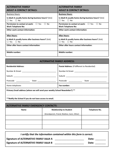| <b>ALTERNATIVE FAMILY</b><br><b>ADULT A CONTACT DETAILS:</b>                               | <b>ALTERNATIVE FAMILY</b><br><b>ADULT B CONTACT DETAILS:</b>                                 |
|--------------------------------------------------------------------------------------------|----------------------------------------------------------------------------------------------|
| <b>Business Hours:</b>                                                                     | <b>Business Hours:</b>                                                                       |
| Is Adult A usually home during business hours? (tick)<br>$\Box$ No<br>$\Box$ Yes           | Is Adult B usually home during business hours? (tick)<br>$\Box$ Yes<br>$\Box$ No             |
| $\Box$ No<br><b>Permission to contact at work:</b> $\Box$ Yes<br><b>Work Telephone No:</b> | Permission to contact at work:<br>□ Yes<br>No.<br>$\Box$<br><b>Work Telephone No:</b>        |
| <b>Other work contact information:</b>                                                     | <b>Other work contact information:</b>                                                       |
| <b>After Hours:</b>                                                                        | <b>After Hours:</b>                                                                          |
| Is Adult A usually home after business hours? (tick)<br>$\Box$ No<br>$\Box$ Yes            | Is Adult B usually home after business hours? (tick)<br><b>Yes</b><br>$\Box$<br>$\Box$<br>No |
| Other after hours contact information:                                                     | Other after hours contact information:                                                       |
| <b>Mobile number:</b>                                                                      | <b>Mobile number:</b>                                                                        |

| <b>ALTERNATIVE FAMILY ADDRESS:</b>                                           |                                                      |  |  |  |
|------------------------------------------------------------------------------|------------------------------------------------------|--|--|--|
| <b>Residential Address:</b>                                                  | <b>Postal Address: (If different to Residential)</b> |  |  |  |
|                                                                              |                                                      |  |  |  |
|                                                                              |                                                      |  |  |  |
| Postcode Postcode<br>State and the state of the state of the state           | Postcode _____________<br>State __________________   |  |  |  |
| Home telephone:                                                              | Fax number:                                          |  |  |  |
| Primary Email address (where we will send your weekly School Newsletter?) ** |                                                      |  |  |  |
| **Notify the School if you do not have access to email.                      |                                                      |  |  |  |

| <b>ALTERNATIVE FAMILY EMERGENCY CONTACTS:</b> |                                               |  |  |  |
|-----------------------------------------------|-----------------------------------------------|--|--|--|
| <b>Name</b>                                   | <b>Telephone No.</b>                          |  |  |  |
|                                               | (Grandparent, Friend, Relative, Carer, Other) |  |  |  |
|                                               |                                               |  |  |  |
|                                               |                                               |  |  |  |
|                                               |                                               |  |  |  |

| I certify that the information contained within this form is correct. |       |  |  |  |
|-----------------------------------------------------------------------|-------|--|--|--|
| Signature of ALTERNATIVE FAMILY Adult A                               | Date: |  |  |  |
| Signature of ALTERNATIVE FAMILY Adult B                               | Date: |  |  |  |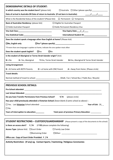| <b>DEMOGRAPHIC DETAILS OF STUDENT:</b>                                                                     |  |  |  |
|------------------------------------------------------------------------------------------------------------|--|--|--|
| In which country was the student born? (please tick)                                                       |  |  |  |
| Date of arrival in Australia OR Date of return to Australia (If not born in Australia):                    |  |  |  |
| What is the Residential Status of the student? (Please tick) $\Box$ Permanent $\Box$ Temporary             |  |  |  |
| Basis of Australian Residency: (please tick)<br>$\Box$ Eligible for Australian Passport                    |  |  |  |
| $\Box$ Holds Permanent Residency Visa<br>$\Box$ Holds Australian Passport                                  |  |  |  |
| Visa Expiry Date: ///                                                                                      |  |  |  |
| International Student ID:                                                                                  |  |  |  |
| Does the student speak a language other than English at home? (Please tick)                                |  |  |  |
|                                                                                                            |  |  |  |
| *If more than one language is spoken at home, indicate the one spoken most often                           |  |  |  |
| $\Box$ Yes<br>$\square$ No<br>Does the student speak English?                                              |  |  |  |
| Is the student of Aboriginal or Torres Strait Islander origin? (tick)                                      |  |  |  |
| K= Yes, Aboriginal T=Yes, Torres Strait Islander<br>B=Yes, Aboriginal & Torres Strait Islander<br>$N = No$ |  |  |  |
| <b>Living Arrangement:</b>                                                                                 |  |  |  |
| $B = At$ home with BOTH Parents<br>$O = at$ home with ONE Parent<br>$A =$ Away from Home (Please circle)   |  |  |  |
| <b>Travel details:</b>                                                                                     |  |  |  |
|                                                                                                            |  |  |  |
|                                                                                                            |  |  |  |
| <b>PREVIOUS SCHOOL DETAILS:</b>                                                                            |  |  |  |
|                                                                                                            |  |  |  |
|                                                                                                            |  |  |  |
| Y/N<br>Do you have Transfer Permissions from Previous School?<br>(please circle)                           |  |  |  |
| Has your child previously attended a Victorian School (leave blank if same school as above) :              |  |  |  |
| Year of Exit: $20$                                                                                         |  |  |  |
| $\square$ No.                                                                                              |  |  |  |
| Total years of previous Primary Education:<br>Years of interruption to education:<br>                      |  |  |  |
|                                                                                                            |  |  |  |
| <b>STUDENT RESTRICTIONS - CUSTODY/GUARDIANSHIP</b> (Please present a copy of the documents to the school)  |  |  |  |
| Is there an access alert? $Y/N$<br>(If YES please complete the following)                                  |  |  |  |
| Access Type: (please tick) □ Court Order<br>$\Box$ Family Law Order                                        |  |  |  |
| $\Box$ Restraining Order                                                                                   |  |  |  |
| Office use: Copy of Court Order Provided: Y / N                                                            |  |  |  |
| Activity Restriction: (If any) eg. Contact Sports / Swimming / Religious Ceremonies                        |  |  |  |
|                                                                                                            |  |  |  |
|                                                                                                            |  |  |  |
|                                                                                                            |  |  |  |